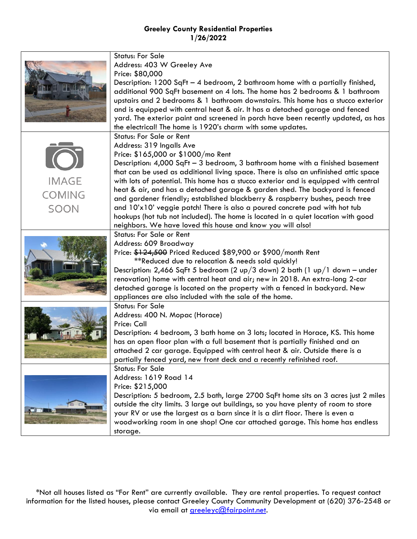|               | <b>Status: For Sale</b>                                                              |
|---------------|--------------------------------------------------------------------------------------|
|               | Address: 403 W Greeley Ave                                                           |
|               | Price: \$80,000                                                                      |
|               | Description: $1200$ SqFt - 4 bedroom, 2 bathroom home with a partially finished,     |
|               | additional 900 SqFt basement on 4 lots. The home has 2 bedrooms & 1 bathroom         |
|               | upstairs and 2 bedrooms & 1 bathroom downstairs. This home has a stucco exterior     |
|               |                                                                                      |
|               | and is equipped with central heat & air. It has a detached garage and fenced         |
|               | yard. The exterior paint and screened in porch have been recently updated, as has    |
|               | the electrical! The home is 1920's charm with some updates.                          |
|               | <b>Status: For Sale or Rent</b>                                                      |
|               | Address: 319 Ingalls Ave                                                             |
|               | Price: \$165,000 or \$1000/mo Rent                                                   |
|               | Description: 4,000 SqFt - 3 bedroom, 3 bathroom home with a finished basement        |
|               | that can be used as additional living space. There is also an unfinished attic space |
| <b>IMAGE</b>  | with lots of potential. This home has a stucco exterior and is equipped with central |
| <b>COMING</b> | heat & air, and has a detached garage & garden shed. The backyard is fenced          |
|               | and gardener friendly; established blackberry & raspberry bushes, peach tree         |
| SOON          | and 10'x10' veggie patch! There is also a poured concrete pad with hot tub           |
|               | hookups (hot tub not included). The home is located in a quiet location with good    |
|               | neighbors. We have loved this house and know you will also!                          |
|               | <b>Status: For Sale or Rent</b>                                                      |
|               | Address: 609 Broadway                                                                |
|               | Price: \$124,500 Priced Reduced \$89,900 or \$900/month Rent                         |
|               | **Reduced due to relocation & needs sold quickly!                                    |
|               | Description: 2,466 SqFt 5 bedroom (2 up/3 down) 2 bath (1 up/1 down - under          |
|               | renovation) home with central heat and air; new in 2018. An extra-long 2-car         |
|               | detached garage is located on the property with a fenced in backyard. New            |
|               | appliances are also included with the sale of the home.                              |
|               | <b>Status: For Sale</b>                                                              |
|               | Address: 400 N. Mopac (Horace)                                                       |
|               | Price: Call                                                                          |
|               | Description: 4 bedroom, 3 bath home on 3 lots; located in Horace, KS. This home      |
|               | has an open floor plan with a full basement that is partially finished and an        |
|               | attached 2 car garage. Equipped with central heat & air. Outside there is a          |
|               | partially fenced yard, new front deck and a recently refinished roof.                |
|               | <b>Status: For Sale</b>                                                              |
|               | Address: 1619 Road 14                                                                |
|               | Price: \$215,000                                                                     |
|               | Description: 5 bedroom, 2.5 bath, large 2700 SqFt home sits on 3 acres just 2 miles  |
|               | outside the city limits. 3 large out buildings, so you have plenty of room to store  |
|               | your RV or use the largest as a barn since it is a dirt floor. There is even a       |
|               | woodworking room in one shop! One car attached garage. This home has endless         |
|               | storage.                                                                             |

\*Not all houses listed as "For Rent" are currently available. They are rental properties. To request contact information for the listed houses, please contact Greeley County Community Development at (620) 376-2548 or via email at **greeleyc@fairpoint.net**.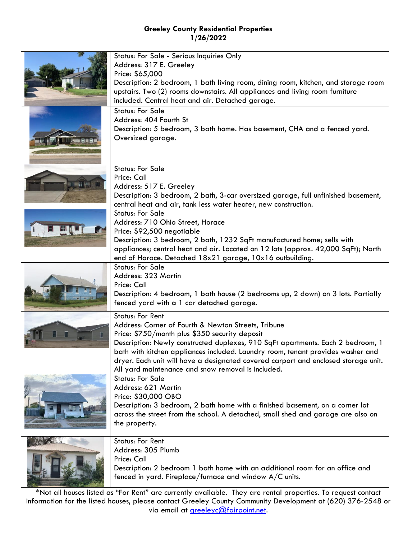| Status: For Sale - Serious Inquiries Only<br>Address: 317 E. Greeley<br>Price: \$65,000<br>Description: 2 bedroom, 1 bath living room, dining room, kitchen, and storage room<br>upstairs. Two (2) rooms downstairs. All appliances and living room furniture<br>included. Central heat and air. Detached garage.                                                                                                                                  |
|----------------------------------------------------------------------------------------------------------------------------------------------------------------------------------------------------------------------------------------------------------------------------------------------------------------------------------------------------------------------------------------------------------------------------------------------------|
| <b>Status: For Sale</b><br>Address: 404 Fourth St<br>Description: 5 bedroom, 3 bath home. Has basement, CHA and a fenced yard.<br>Oversized garage.                                                                                                                                                                                                                                                                                                |
| <b>Status: For Sale</b><br>Price: Call<br>Address: 517 E. Greeley<br>Description: 3 bedroom, 2 bath, 3-car oversized garage, full unfinished basement,<br>central heat and air, tank less water heater, new construction.                                                                                                                                                                                                                          |
| <b>Status: For Sale</b><br>Address: 710 Ohio Street, Horace<br>Price: \$92,500 negotiable<br>Description: 3 bedroom, 2 bath, 1232 SqFt manufactured home; sells with<br>appliances; central heat and air. Located on 12 lots (approx. 42,000 SqFt); North<br>end of Horace. Detached 18x21 garage, 10x16 outbuilding.                                                                                                                              |
| <b>Status: For Sale</b><br>Address: 323 Martin<br>Price: Call<br>Description: 4 bedroom, 1 bath house (2 bedrooms up, 2 down) on 3 lots. Partially<br>fenced yard with a 1 car detached garage.                                                                                                                                                                                                                                                    |
| <b>Status: For Rent</b><br>Address: Corner of Fourth & Newton Streets, Tribune<br>Price: \$750/month plus \$350 security deposit<br>Description: Newly constructed duplexes, 910 SqFt apartments. Each 2 bedroom, 1<br>bath with kitchen appliances included. Laundry room, tenant provides washer and<br>dryer. Each unit will have a designated covered carport and enclosed storage unit.<br>All yard maintenance and snow removal is included. |
| <b>Status: For Sale</b><br>Address: 621 Martin<br>Price: \$30,000 OBO<br>Description: 3 bedroom, 2 bath home with a finished basement, on a corner lot<br>across the street from the school. A detached, small shed and garage are also on<br>the property.                                                                                                                                                                                        |
| <b>Status: For Rent</b><br>Address: 305 Plumb<br>Price: Call<br>Description: 2 bedroom 1 bath home with an additional room for an office and<br>fenced in yard. Fireplace/furnace and window A/C units.                                                                                                                                                                                                                                            |

\*Not all houses listed as "For Rent" are currently available. They are rental properties. To request contact information for the listed houses, please contact Greeley County Community Development at (620) 376-2548 or via email at [greeleyc@fairpoint.net.](mailto:greeleyc@fairpoint.net)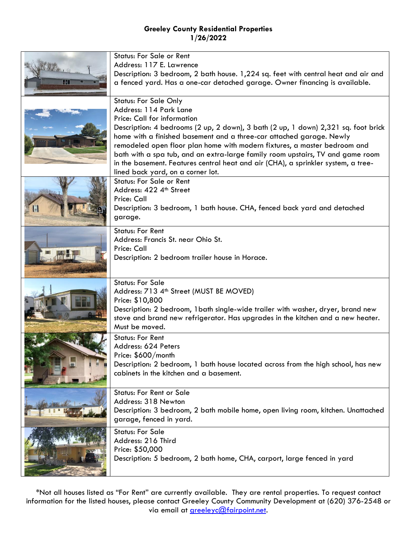|       | <b>Status: For Sale or Rent</b>                                                    |
|-------|------------------------------------------------------------------------------------|
| For 1 | Address: 117 E. Lawrence                                                           |
|       | Description: 3 bedroom, 2 bath house. 1,224 sq. feet with central heat and air and |
| 41    | a fenced yard. Has a one-car detached garage. Owner financing is available.        |
|       |                                                                                    |
|       | <b>Status: For Sale Only</b>                                                       |
|       | Address: 114 Park Lane                                                             |
|       | Price: Call for information                                                        |
|       | Description: 4 bedrooms (2 up, 2 down), 3 bath (2 up, 1 down) 2,321 sq. foot brick |
|       | home with a finished basement and a three-car attached garage. Newly               |
|       | remodeled open floor plan home with modern fixtures, a master bedroom and          |
|       | bath with a spa tub, and an extra-large family room upstairs, TV and game room     |
|       | in the basement. Features central heat and air (CHA), a sprinkler system, a tree-  |
|       | lined back yard, on a corner lot.                                                  |
|       | <b>Status: For Sale or Rent</b>                                                    |
|       | Address: 422 4th Street                                                            |
|       | Price: Call                                                                        |
|       | Description: 3 bedroom, 1 bath house. CHA, fenced back yard and detached           |
|       | garage.                                                                            |
|       | <b>Status: For Rent</b>                                                            |
|       | Address: Francis St. near Ohio St.                                                 |
|       | Price: Call                                                                        |
|       | Description: 2 bedroom trailer house in Horace.                                    |
|       |                                                                                    |
|       | <b>Status: For Sale</b>                                                            |
|       | Address: 713 4 <sup>th</sup> Street (MUST BE MOVED)                                |
|       | Price: \$10,800                                                                    |
|       | Description: 2 bedroom, 1 bath single-wide trailer with washer, dryer, brand new   |
|       | stove and brand new refrigerator. Has upgrades in the kitchen and a new heater.    |
|       | Must be moved.                                                                     |
|       | <b>Status: For Rent</b>                                                            |
|       | Address: 624 Peters                                                                |
|       | Price: \$600/month                                                                 |
|       | Description: 2 bedroom, 1 bath house located across from the high school, has new  |
|       | cabinets in the kitchen and a basement.                                            |
|       |                                                                                    |
|       | <b>Status: For Rent or Sale</b>                                                    |
|       | Address: 318 Newton                                                                |
|       | Description: 3 bedroom, 2 bath mobile home, open living room, kitchen. Unattached  |
|       | garage, fenced in yard.                                                            |
|       | <b>Status: For Sale</b>                                                            |
|       | Address: 216 Third                                                                 |
|       | Price: \$50,000                                                                    |
|       | Description: 5 bedroom, 2 bath home, CHA, carport, large fenced in yard            |
|       |                                                                                    |

\*Not all houses listed as "For Rent" are currently available. They are rental properties. To request contact information for the listed houses, please contact Greeley County Community Development at (620) 376-2548 or via email at **greeleyc@fairpoint.net**.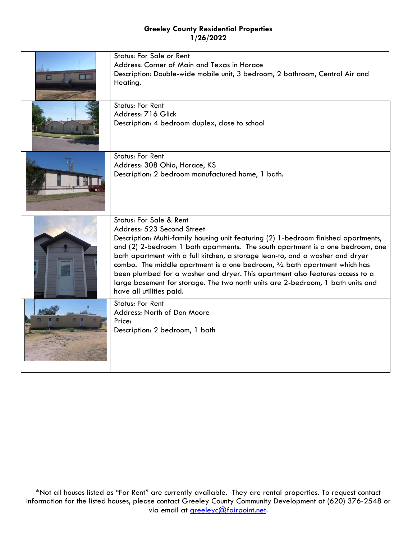| <b>RED</b> | <b>Status: For Sale or Rent</b><br>Address: Corner of Main and Texas in Horace<br>Description: Double-wide mobile unit, 3 bedroom, 2 bathroom, Central Air and<br>Heating.                                                                                                                                                                                                                                                                                                                                                                                                                                         |
|------------|--------------------------------------------------------------------------------------------------------------------------------------------------------------------------------------------------------------------------------------------------------------------------------------------------------------------------------------------------------------------------------------------------------------------------------------------------------------------------------------------------------------------------------------------------------------------------------------------------------------------|
|            | <b>Status: For Rent</b><br>Address: 716 Glick<br>Description: 4 bedroom duplex, close to school                                                                                                                                                                                                                                                                                                                                                                                                                                                                                                                    |
|            | <b>Status: For Rent</b><br>Address: 308 Ohio, Horace, KS<br>Description: 2 bedroom manufactured home, 1 bath.                                                                                                                                                                                                                                                                                                                                                                                                                                                                                                      |
|            | <b>Status: For Sale &amp; Rent</b><br>Address: 523 Second Street<br>Description: Multi-family housing unit featuring (2) 1-bedroom finished apartments,<br>and (2) 2-bedroom 1 bath apartments. The south apartment is a one bedroom, one<br>bath apartment with a full kitchen, a storage lean-to, and a washer and dryer<br>combo. The middle apartment is a one bedroom, $\frac{3}{4}$ bath apartment which has<br>been plumbed for a washer and dryer. This apartment also features access to a<br>large basement for storage. The two north units are 2-bedroom, 1 bath units and<br>have all utilities paid. |
|            | <b>Status: For Rent</b><br>Address: North of Don Moore<br>Price:<br>Description: 2 bedroom, 1 bath                                                                                                                                                                                                                                                                                                                                                                                                                                                                                                                 |

\*Not all houses listed as "For Rent" are currently available. They are rental properties. To request contact information for the listed houses, please contact Greeley County Community Development at (620) 376-2548 or via email at **greeleyc@fairpoint.net**.